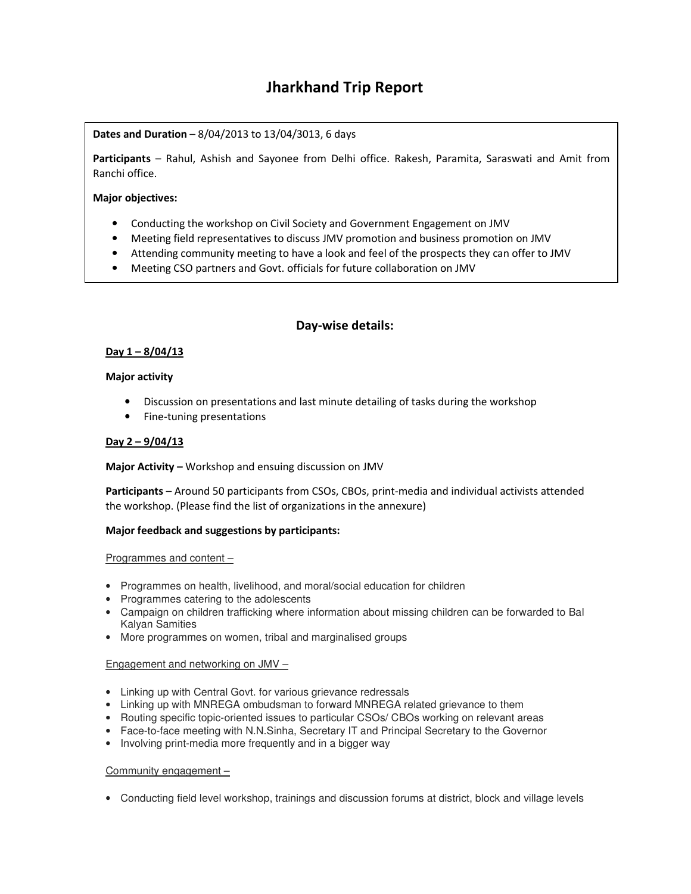# **Jharkhand Trip Report**

# **Dates and Duration** – 8/04/2013 to 13/04/3013, 6 days

**Participants** – Rahul, Ashish and Sayonee from Delhi office. Rakesh, Paramita, Saraswati and Amit from Ranchi office.

## **Major objectives:**

- Conducting the workshop on Civil Society and Government Engagement on JMV
- Meeting field representatives to discuss JMV promotion and business promotion on JMV
- Attending community meeting to have a look and feel of the prospects they can offer to JMV
- Meeting CSO partners and Govt. officials for future collaboration on JMV

## **Day-wise details:**

## **Day 1 – 8/04/13**

#### **Major activity**

- Discussion on presentations and last minute detailing of tasks during the workshop
- Fine-tuning presentations

#### **Day 2 – 9/04/13**

**Major Activity –** Workshop and ensuing discussion on JMV

**Participants** – Around 50 participants from CSOs, CBOs, print-media and individual activists attended the workshop. (Please find the list of organizations in the annexure)

## **Major feedback and suggestions by participants:**

#### Programmes and content –

- Programmes on health, livelihood, and moral/social education for children
- Programmes catering to the adolescents
- Campaign on children trafficking where information about missing children can be forwarded to Bal Kalyan Samities
- More programmes on women, tribal and marginalised groups

## Engagement and networking on JMV –

- Linking up with Central Govt. for various grievance redressals
- Linking up with MNREGA ombudsman to forward MNREGA related grievance to them
- Routing specific topic-oriented issues to particular CSOs/ CBOs working on relevant areas
- Face-to-face meeting with N.N.Sinha, Secretary IT and Principal Secretary to the Governor
- Involving print-media more frequently and in a bigger way

## Community engagement –

• Conducting field level workshop, trainings and discussion forums at district, block and village levels